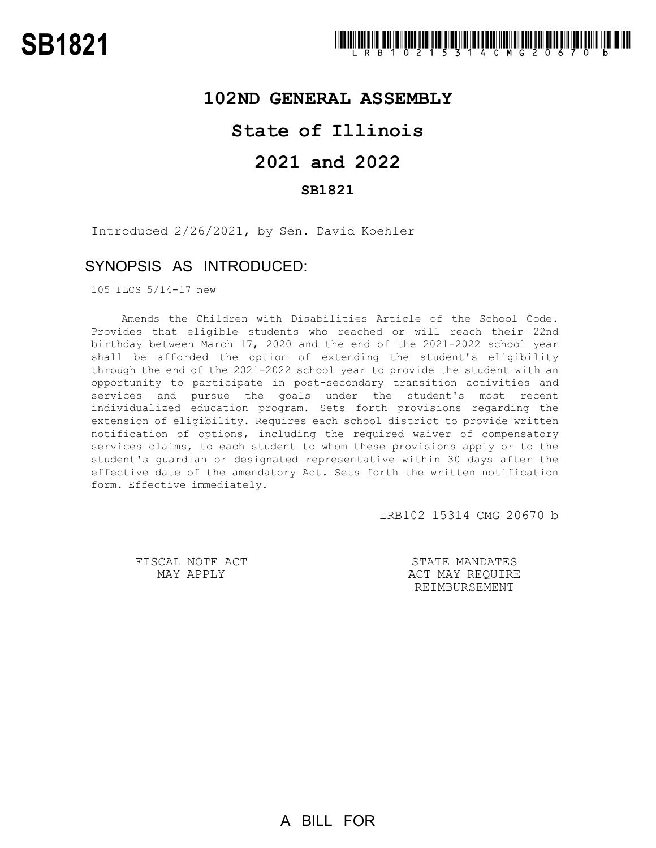# **102ND GENERAL ASSEMBLY**

# **State of Illinois**

# **2021 and 2022**

## **SB1821**

Introduced 2/26/2021, by Sen. David Koehler

## SYNOPSIS AS INTRODUCED:

105 ILCS 5/14-17 new

Amends the Children with Disabilities Article of the School Code. Provides that eligible students who reached or will reach their 22nd birthday between March 17, 2020 and the end of the 2021-2022 school year shall be afforded the option of extending the student's eligibility through the end of the 2021-2022 school year to provide the student with an opportunity to participate in post-secondary transition activities and services and pursue the goals under the student's most recent individualized education program. Sets forth provisions regarding the extension of eligibility. Requires each school district to provide written notification of options, including the required waiver of compensatory services claims, to each student to whom these provisions apply or to the student's guardian or designated representative within 30 days after the effective date of the amendatory Act. Sets forth the written notification form. Effective immediately.

LRB102 15314 CMG 20670 b

FISCAL NOTE ACT MAY APPLY

STATE MANDATES ACT MAY REQUIRE REIMBURSEMENT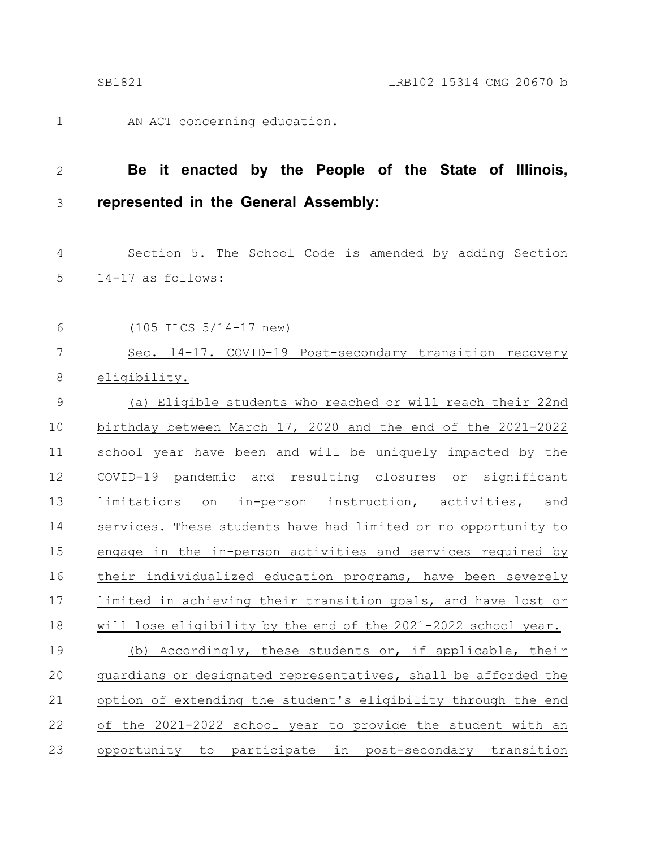1

AN ACT concerning education.

## **Be it enacted by the People of the State of Illinois, represented in the General Assembly:** 2 3

Section 5. The School Code is amended by adding Section 14-17 as follows: 4 5

(105 ILCS 5/14-17 new) 6

Sec. 14-17. COVID-19 Post-secondary transition recovery eligibility. 7 8

(a) Eligible students who reached or will reach their 22nd birthday between March 17, 2020 and the end of the 2021-2022 school year have been and will be uniquely impacted by the COVID-19 pandemic and resulting closures or significant limitations on in-person instruction, activities, and services. These students have had limited or no opportunity to engage in the in-person activities and services required by their individualized education programs, have been severely limited in achieving their transition goals, and have lost or will lose eligibility by the end of the 2021-2022 school year. (b) Accordingly, these students or, if applicable, their guardians or designated representatives, shall be afforded the option of extending the student's eligibility through the end of the 2021-2022 school year to provide the student with an opportunity to participate in post-secondary transition 9 10 11 12 13 14 15 16 17 18 19 20 21 22 23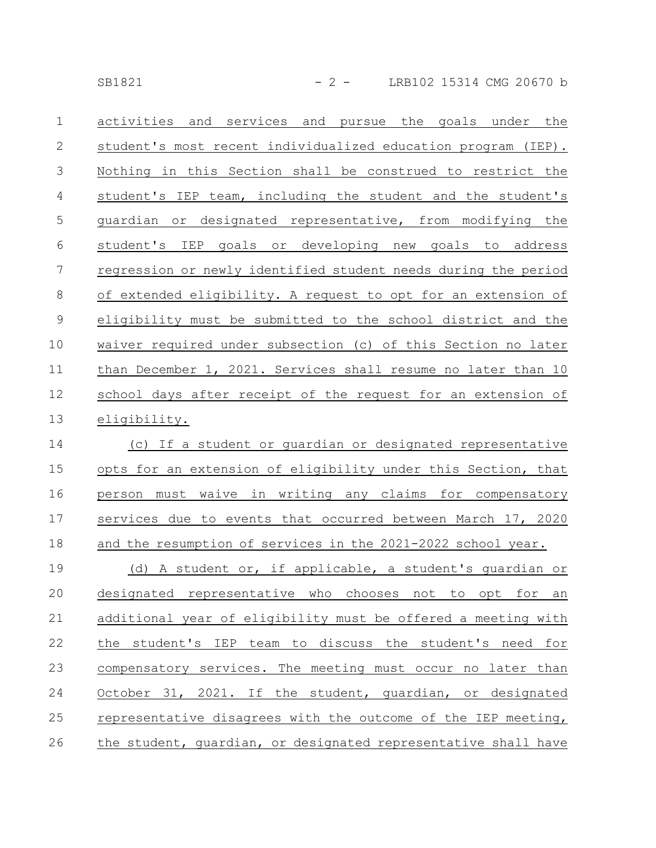SB1821 - 2 - LRB102 15314 CMG 20670 b

| $\mathbf{1}$  | pursue the goals<br>under<br>the<br>activities<br>and<br>services<br>and |
|---------------|--------------------------------------------------------------------------|
| $\mathbf{2}$  | student's most recent individualized education program (IEP).            |
| 3             | Nothing in this Section shall be construed to restrict the               |
| 4             | student's IEP team, including the student and the student's              |
| 5             | guardian or designated representative, from modifying the                |
| 6             | goals or developing new goals to address<br>student's IEP                |
| 7             | regression or newly identified student needs during the period           |
| 8             | of extended eligibility. A request to opt for an extension of            |
| $\mathcal{G}$ | eligibility must be submitted to the school district and the             |
| 10            | waiver required under subsection (c) of this Section no later            |
| 11            | than December 1, 2021. Services shall resume no later than 10            |
| 12            | school days after receipt of the request for an extension of             |
| 13            | eligibility.                                                             |
| 14            | (c) If a student or guardian or designated representative                |
| 15            | opts for an extension of eligibility under this Section, that            |
| 16            | person must waive in writing any claims for compensatory                 |
| 17            | services due to events that occurred between March 17, 2020              |
| 18            | and the resumption of services in the 2021-2022 school year.             |
| 19            | (d) A student or, if applicable, a student's quardian or                 |
| 20            | designated representative who chooses not to opt for an                  |
| 21            | additional year of eligibility must be offered a meeting with            |
| 22            | the student's IEP team to discuss the student's need for                 |
| 23            | compensatory services. The meeting must occur no later than              |
| 24            | October 31, 2021. If the student, guardian, or designated                |
| 25            | representative disagrees with the outcome of the IEP meeting,            |
| 26            | the student, quardian, or designated representative shall have           |
|               |                                                                          |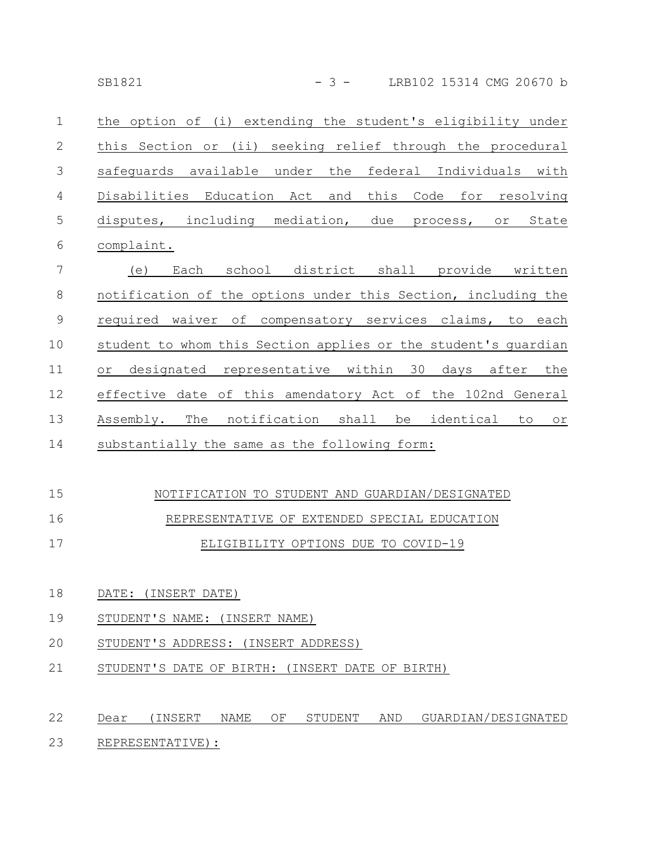| $\mathbf{1}$   | the option of (i) extending the student's eligibility under |                            |  |  |       |
|----------------|-------------------------------------------------------------|----------------------------|--|--|-------|
| 2              | this Section or (ii) seeking relief through the procedural  |                            |  |  |       |
| 3              | safequards available under the federal Individuals with     |                            |  |  |       |
| $\overline{4}$ | Disabilities Education Act and this Code for resolving      |                            |  |  |       |
| $\overline{5}$ | disputes, including                                         | mediation, due process, or |  |  | State |
| 6              | complaint.                                                  |                            |  |  |       |

(e) Each school district shall provide written notification of the options under this Section, including the required waiver of compensatory services claims, to each student to whom this Section applies or the student's guardian or designated representative within 30 days after the effective date of this amendatory Act of the 102nd General Assembly. The notification shall be identical to or substantially the same as the following form: 7 8 9 10 11 12 13 14

#### NOTIFICATION TO STUDENT AND GUARDIAN/DESIGNATED 15

#### REPRESENTATIVE OF EXTENDED SPECIAL EDUCATION 16

|--|

- DATE: (INSERT DATE) 18
- STUDENT'S NAME: (INSERT NAME) 19
- STUDENT'S ADDRESS: (INSERT ADDRESS) 20
- STUDENT'S DATE OF BIRTH: (INSERT DATE OF BIRTH) 21

### Dear (INSERT NAME OF STUDENT AND GUARDIAN/DESIGNATED REPRESENTATIVE): 22 23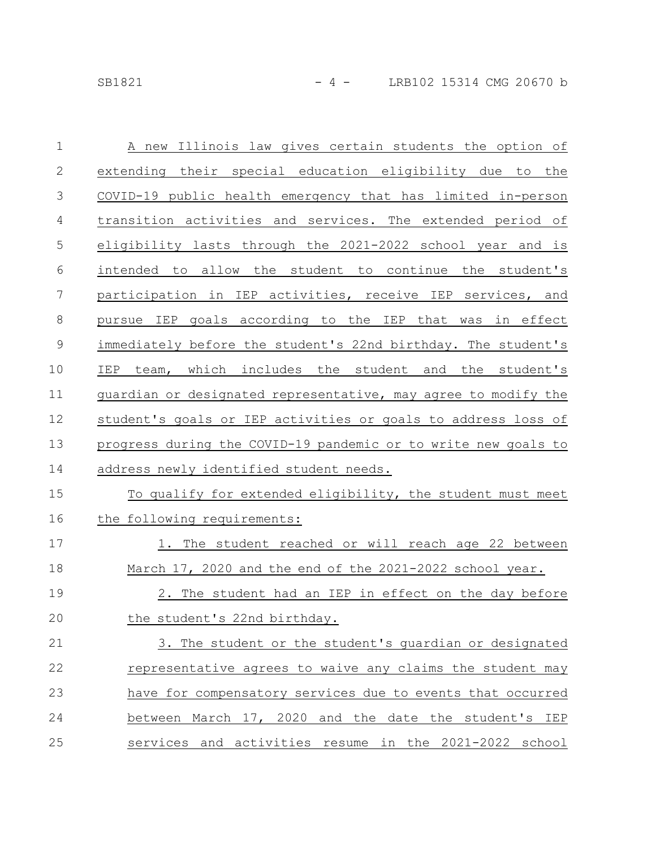| $\mathbf{1}$  | A new Illinois law gives certain students the option of        |
|---------------|----------------------------------------------------------------|
| $\mathbf{2}$  | extending their special education eligibility due to the       |
| 3             | COVID-19 public health emergency that has limited in-person    |
| 4             | transition activities and services. The extended period of     |
| 5             | eligibility lasts through the 2021-2022 school year and is     |
| $6\,$         | intended to allow the student to continue the student's        |
| 7             | participation in IEP activities, receive IEP services, and     |
| $8\,$         | pursue IEP goals according to the IEP that was in effect       |
| $\mathcal{G}$ | immediately before the student's 22nd birthday. The student's  |
| 10            | IEP team, which includes the student and the student's         |
| 11            | guardian or designated representative, may agree to modify the |
| 12            | student's goals or IEP activities or goals to address loss of  |
| 13            | progress during the COVID-19 pandemic or to write new goals to |
| 14            | address newly identified student needs.                        |
| 15            | To qualify for extended eligibility, the student must meet     |
| 16            | the following requirements:                                    |
| 17            | 1. The student reached or will reach age 22 between            |
| 18            | March 17, 2020 and the end of the 2021-2022 school year.       |
| 19            | 2. The student had an IEP in effect on the day before          |
| 20            | the student's 22nd birthday.                                   |
| 21            | 3. The student or the student's guardian or designated         |
| 22            | representative agrees to waive any claims the student may      |
| 23            | have for compensatory services due to events that occurred     |
| 24            | between March 17, 2020 and the date the student's IEP          |
| 25            | services and activities resume in the 2021-2022 school         |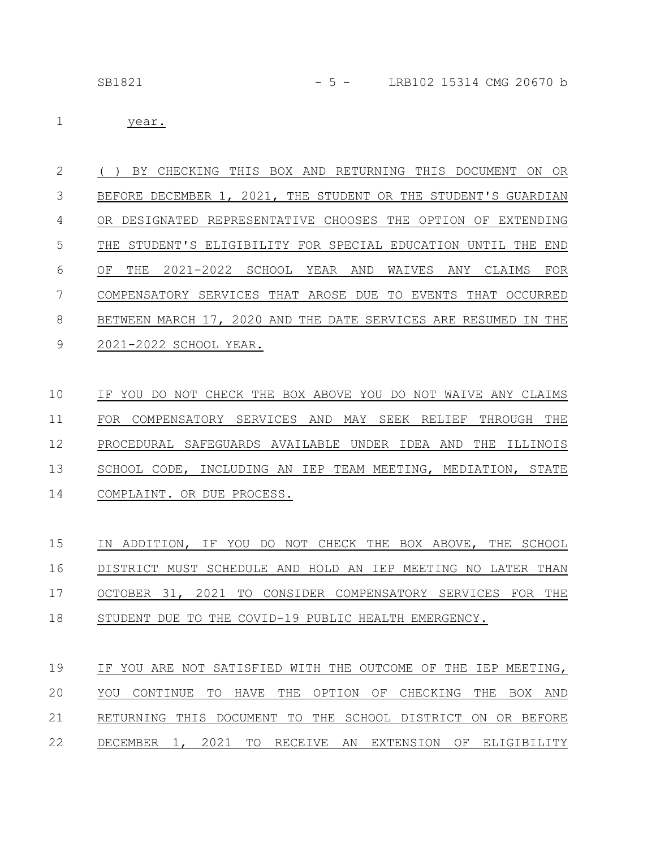## SB1821 - 5 - LRB102 15314 CMG 20670 b

year. 1

( ) BY CHECKING THIS BOX AND RETURNING THIS DOCUMENT ON OR BEFORE DECEMBER 1, 2021, THE STUDENT OR THE STUDENT'S GUARDIAN OR DESIGNATED REPRESENTATIVE CHOOSES THE OPTION OF EXTENDING THE STUDENT'S ELIGIBILITY FOR SPECIAL EDUCATION UNTIL THE END OF THE 2021-2022 SCHOOL YEAR AND WAIVES ANY CLAIMS FOR COMPENSATORY SERVICES THAT AROSE DUE TO EVENTS THAT OCCURRED BETWEEN MARCH 17, 2020 AND THE DATE SERVICES ARE RESUMED IN THE 2021-2022 SCHOOL YEAR. 2 3 4 5 6 7 8 9

IF YOU DO NOT CHECK THE BOX ABOVE YOU DO NOT WAIVE ANY CLAIMS FOR COMPENSATORY SERVICES AND MAY SEEK RELIEF THROUGH THE PROCEDURAL SAFEGUARDS AVAILABLE UNDER IDEA AND THE ILLINOIS SCHOOL CODE, INCLUDING AN IEP TEAM MEETING, MEDIATION, STATE COMPLAINT. OR DUE PROCESS. 10 11 12 13 14

IN ADDITION, IF YOU DO NOT CHECK THE BOX ABOVE, THE SCHOOL DISTRICT MUST SCHEDULE AND HOLD AN IEP MEETING NO LATER THAN OCTOBER 31, 2021 TO CONSIDER COMPENSATORY SERVICES FOR THE STUDENT DUE TO THE COVID-19 PUBLIC HEALTH EMERGENCY. 15 16 17 18

IF YOU ARE NOT SATISFIED WITH THE OUTCOME OF THE IEP MEETING, YOU CONTINUE TO HAVE THE OPTION OF CHECKING THE BOX AND RETURNING THIS DOCUMENT TO THE SCHOOL DISTRICT ON OR BEFORE DECEMBER 1, 2021 TO RECEIVE AN EXTENSION OF ELIGIBILITY 19 20 21 22